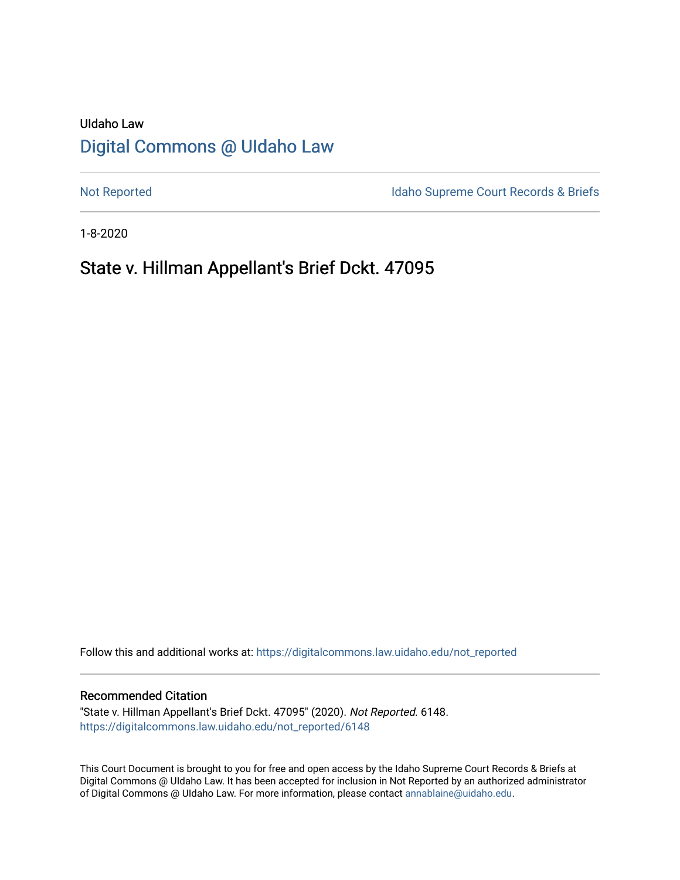# UIdaho Law [Digital Commons @ UIdaho Law](https://digitalcommons.law.uidaho.edu/)

[Not Reported](https://digitalcommons.law.uidaho.edu/not_reported) **Idaho Supreme Court Records & Briefs** 

1-8-2020

# State v. Hillman Appellant's Brief Dckt. 47095

Follow this and additional works at: [https://digitalcommons.law.uidaho.edu/not\\_reported](https://digitalcommons.law.uidaho.edu/not_reported?utm_source=digitalcommons.law.uidaho.edu%2Fnot_reported%2F6148&utm_medium=PDF&utm_campaign=PDFCoverPages) 

#### Recommended Citation

"State v. Hillman Appellant's Brief Dckt. 47095" (2020). Not Reported. 6148. [https://digitalcommons.law.uidaho.edu/not\\_reported/6148](https://digitalcommons.law.uidaho.edu/not_reported/6148?utm_source=digitalcommons.law.uidaho.edu%2Fnot_reported%2F6148&utm_medium=PDF&utm_campaign=PDFCoverPages)

This Court Document is brought to you for free and open access by the Idaho Supreme Court Records & Briefs at Digital Commons @ UIdaho Law. It has been accepted for inclusion in Not Reported by an authorized administrator of Digital Commons @ UIdaho Law. For more information, please contact [annablaine@uidaho.edu](mailto:annablaine@uidaho.edu).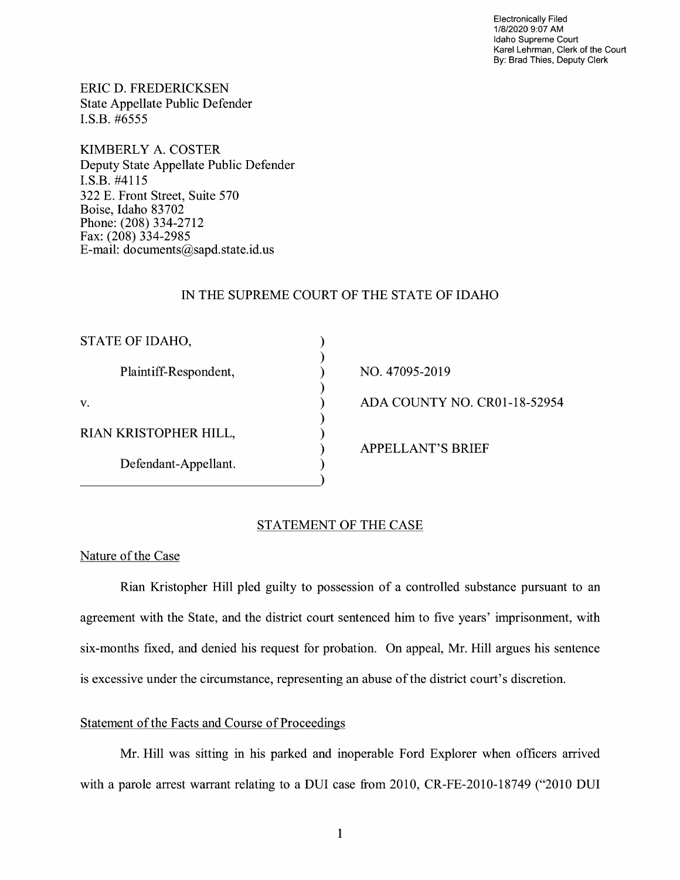Electronically Filed 1/8/2020 9:07 AM Idaho Supreme Court Karel Lehrman, Clerk of the Court By: Brad Thies, Deputy Clerk

ERIC D. FREDERICKSEN State Appellate Public Defender I.S.B. #6555

KIMBERLY A. COSTER Deputy State Appellate Public Defender I.S.B. #4115 322 E. Front Street, Suite 570 Boise, Idaho 83702 Phone: (208) 334-2712 Fax: (208) 334-2985 E-mail: documents@sapd.state.id. us

## IN THE SUPREME COURT OF THE STATE OF IDAHO

| STATE OF IDAHO,       |                              |
|-----------------------|------------------------------|
| Plaintiff-Respondent, | NO. 47095-2019               |
| v.                    | ADA COUNTY NO. CR01-18-52954 |
| RIAN KRISTOPHER HILL, |                              |
| Defendant-Appellant.  | <b>APPELLANT'S BRIEF</b>     |
|                       |                              |

### STATEMENT OF THE CASE

#### Nature of the Case

Rian Kristopher Hill pied guilty to possession of a controlled substance pursuant to an agreement with the State, and the district court sentenced him to five years' imprisonment, with six-months fixed, and denied his request for probation. On appeal, Mr. Hill argues his sentence is excessive under the circumstance, representing an abuse of the district court's discretion.

# Statement of the Facts and Course of Proceedings

Mr. Hill was sitting in his parked and inoperable Ford Explorer when officers arrived with a parole arrest warrant relating to a DUI case from 2010, CR-FE-2010-18749 ("2010 DUI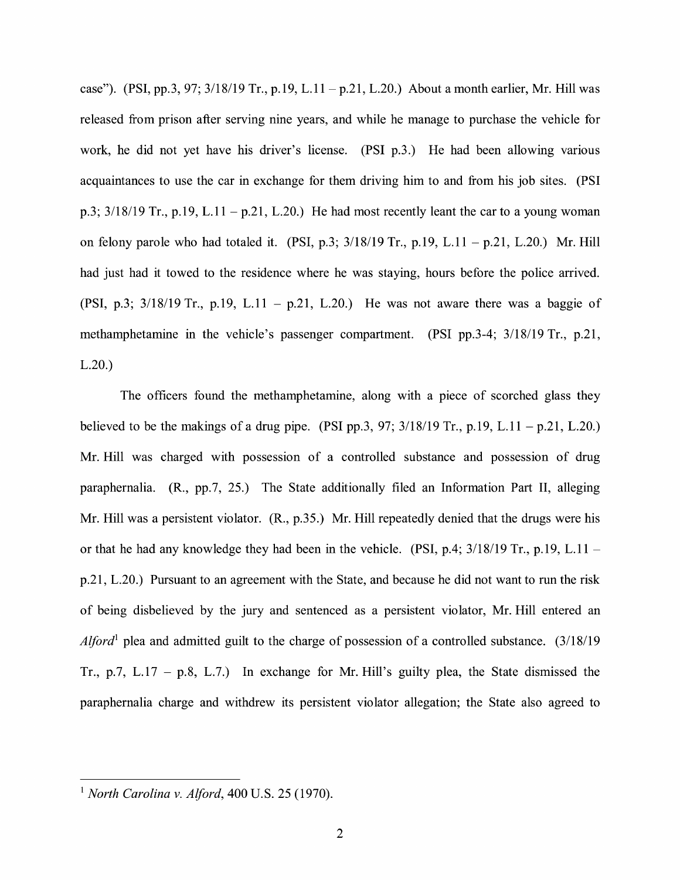case"). (PSI, pp.3, 97;  $3/18/19$  Tr., p.19, L.11 - p.21, L.20.) About a month earlier, Mr. Hill was released from prison after serving nine years, and while he manage to purchase the vehicle for work, he did not yet have his driver's license. (PSI p.3.) He had been allowing various acquaintances to use the car in exchange for them driving him to and from his job sites. (PSI p.3;  $3/18/19$  Tr., p.19, L.11 – p.21, L.20.) He had most recently leant the car to a young woman on felony parole who had totaled it. (PSI, p.3;  $3/18/19$  Tr., p.19, L.11 - p.21, L.20.) Mr. Hill had just had it towed to the residence where he was staying, hours before the police arrived. (PSI, p.3;  $3/18/19$  Tr., p.19, L.11 - p.21, L.20.) He was not aware there was a baggie of methamphetamine in the vehicle's passenger compartment. (PSI pp.3-4; 3/18/19 Tr., p.21, L.20.)

The officers found the methamphetamine, along with a piece of scorched glass they believed to be the makings of a drug pipe. (PSI pp.3, 97;  $3/18/19$  Tr., p.19, L.11 - p.21, L.20.) Mr. Hill was charged with possession of a controlled substance and possession of drug paraphernalia. (R., pp.7, 25.) The State additionally filed an Information Part II, alleging Mr. Hill was a persistent violator. (R., p.35.) Mr. Hill repeatedly denied that the drugs were his or that he had any knowledge they had been in the vehicle. (PSI, p.4;  $3/18/19$  Tr., p.19, L.11 – p.21, L.20.) Pursuant to an agreement with the State, and because he did not want to run the risk of being disbelieved by the jury and sentenced as a persistent violator, Mr. Hill entered an *Alford*<sup>1</sup> plea and admitted guilt to the charge of possession of a controlled substance.  $(3/18/19)$ Tr., p.7, L.17 – p.8, L.7.) In exchange for Mr. Hill's guilty plea, the State dismissed the paraphernalia charge and withdrew its persistent violator allegation; the State also agreed to

<sup>1</sup>*North Carolina v. Alford,* 400 U.S. 25 (1970).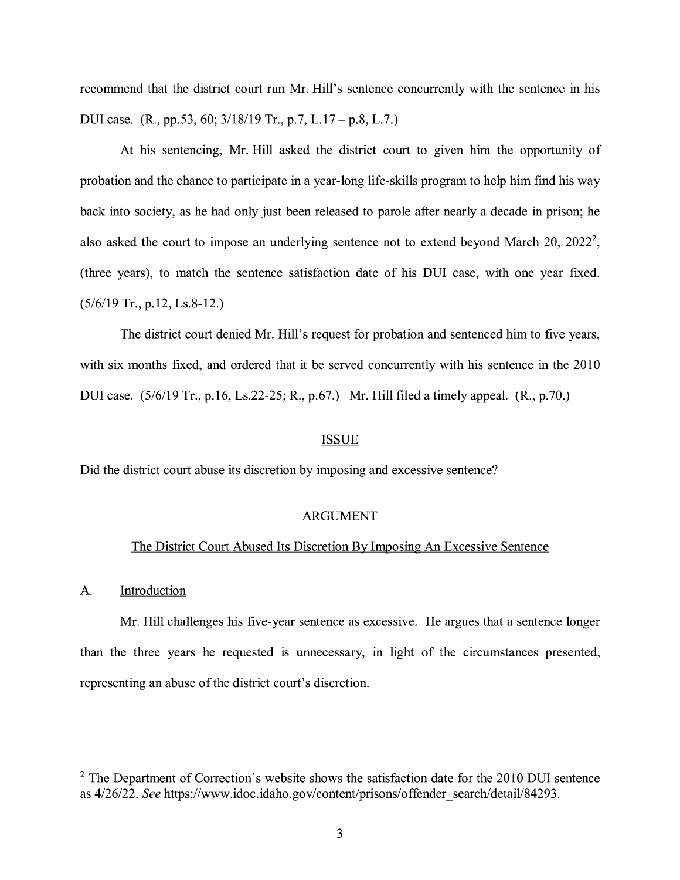recommend that the district court run Mr. Hill's sentence concurrently with the sentence in his DUI case. (R., pp.53, 60; 3/18/19 Tr., p.7, L.17 – p.8, L.7.)

At his sentencing, Mr. Hill asked the district court to given him the opportunity of probation and the chance to participate in a year-long life-skills program to help him find his way back into society, as he had only just been released to parole after nearly a decade in prison; he also asked the court to impose an underlying sentence not to extend beyond March 20,  $2022^2$ , (three years), to match the sentence satisfaction date of his DUI case, with one year fixed. (5/6/19 Tr., p.12, Ls.8-12.)

The district court denied Mr. Hill's request for probation and sentenced him to five years, with six months fixed, and ordered that it be served concurrently with his sentence in the 2010 DUI case. (5/6/19 Tr., p.16, Ls.22-25; R., p.67.) Mr. Hill filed a timely appeal. **(R.,** p.70.)

#### ISSUE

Did the district court abuse its discretion by imposing and excessive sentence?

#### ARGUMENT

#### The District Court Abused Its Discretion By Imposing An Excessive Sentence

#### A. Introduction

Mr. Hill challenges his five-year sentence as excessive. He argues that a sentence longer than the three years he requested is unnecessary, in light of the circumstances presented, representing an abuse of the district court's discretion.

 $2$  The Department of Correction's website shows the satisfaction date for the 2010 DUI sentence as 4/26/22. *See* https://www.idoc.idaho.gov/content/prisons/offender\_search/detail/84293.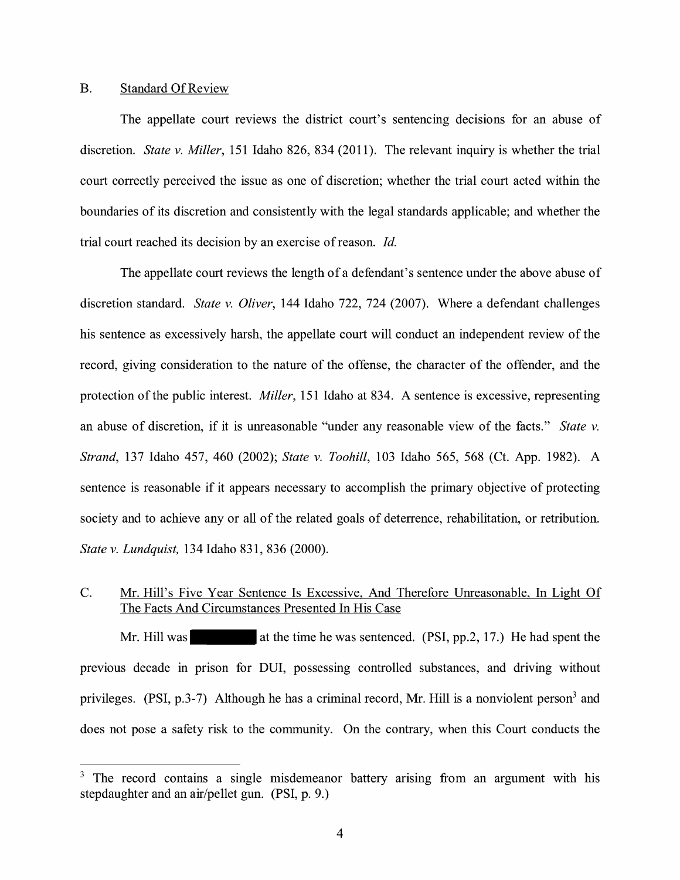## B. Standard Of Review

The appellate court reviews the district court's sentencing decisions for an abuse of discretion. *State v. Miller,* 151 Idaho 826, 834 (2011). The relevant inquiry is whether the trial court correctly perceived the issue as one of discretion; whether the trial court acted within the boundaries of its discretion and consistently with the legal standards applicable; and whether the trial court reached its decision by an exercise of reason. *Id.* 

The appellate court reviews the length of a defendant's sentence under the above abuse of discretion standard. *State v. Oliver,* 144 Idaho 722, 724 (2007). Where a defendant challenges his sentence as excessively harsh, the appellate court will conduct an independent review of the record, giving consideration to the nature of the offense, the character of the offender, and the protection of the public interest. *Miller,* 151 Idaho at 834. A sentence is excessive, representing an abuse of discretion, if it is unreasonable "under any reasonable view of the facts." *State v. Strand,* 137 Idaho 457, 460 (2002); *State v. Toohill,* 103 Idaho 565, 568 (Ct. App. 1982). A sentence is reasonable if it appears necessary to accomplish the primary objective of protecting society and to achieve any or all of the related goals of deterrence, rehabilitation, or retribution. *State v. Lundquist,* 134 Idaho 831, 836 (2000).

# C. Mr. Hill's Five Year Sentence Is Excessive, And Therefore Unreasonable, In Light Of The Facts And Circumstances Presented In His Case

Mr. Hill was at the time he was sentenced. (PSI, pp.2, 17.) He had spent the previous decade in prison for DUI, possessing controlled substances, and driving without privileges. (PSI,  $p.3-7$ ) Although he has a criminal record, Mr. Hill is a nonviolent person<sup>3</sup> and does not pose a safety risk to the community. On the contrary, when this Court conducts the

 $3$  The record contains a single misdemeanor battery arising from an argument with his stepdaughter and an air/pellet gun. (PSI, p. 9.)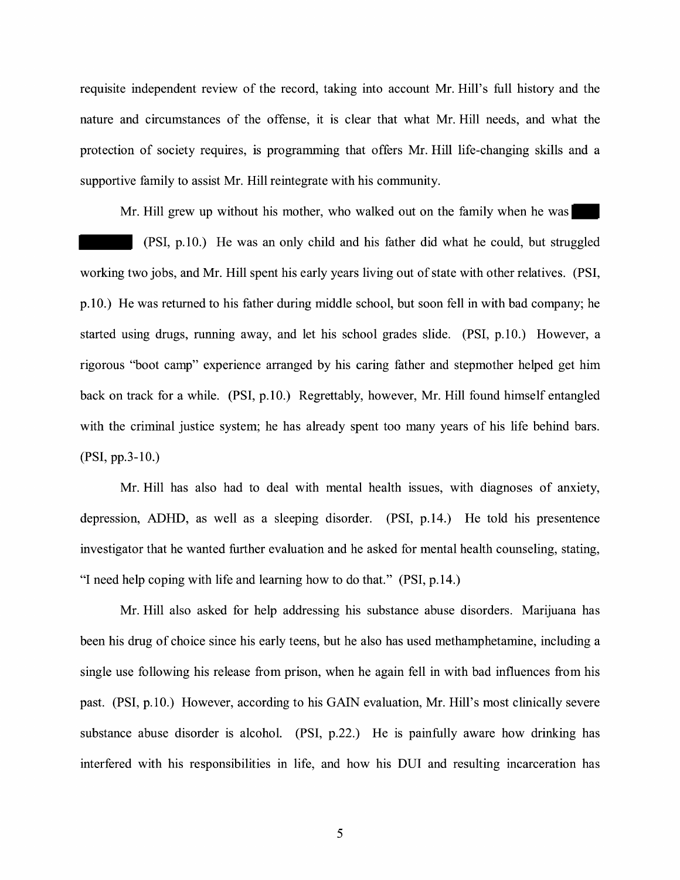requisite independent review of the record, taking into account Mr. Hill's full history and the nature and circumstances of the offense, it is clear that what Mr. Hill needs, and what the protection of society requires, is programming that offers Mr. Hill life-changing skills and a supportive family to assist Mr. Hill reintegrate with his community.

Mr. Hill grew up without his mother, who walked out on the family when he was

(PSI, p.10.) He was an only child and his father did what he could, but struggled working two jobs, and Mr. Hill spent his early years living out of state with other relatives. (PSI, p.10.) He was returned to his father during middle school, but soon fell in with bad company; he started using drugs, running away, and let his school grades slide.  $(PSI, p.10)$  However, a rigorous "boot camp" experience arranged by his caring father and stepmother helped get him back on track for a while. (PSI, p.10.) Regrettably, however, Mr. Hill found himself entangled with the criminal justice system; he has already spent too many years of his life behind bars. (PSI, pp.3-10.)

Mr. Hill has also had to deal with mental health issues, with diagnoses of anxiety, depression, ADHD, as well as a sleeping disorder. (PSI, p.14.) He told his presentence investigator that he wanted further evaluation and he asked for mental health counseling, stating, "I need help coping with life and learning how to do that." (PSI, p.14.)

Mr. Hill also asked for help addressing his substance abuse disorders. Marijuana has been his drug of choice since his early teens, but he also has used methamphetamine, including a single use following his release from prison, when he again fell in with bad influences from his past. (PSI, p.10.) However, according to his GAIN evaluation, Mr. Hill's most clinically severe substance abuse disorder is alcohol. (PSI, p.22.) He is painfully aware how drinking has interfered with his responsibilities in life, and how his DUI and resulting incarceration has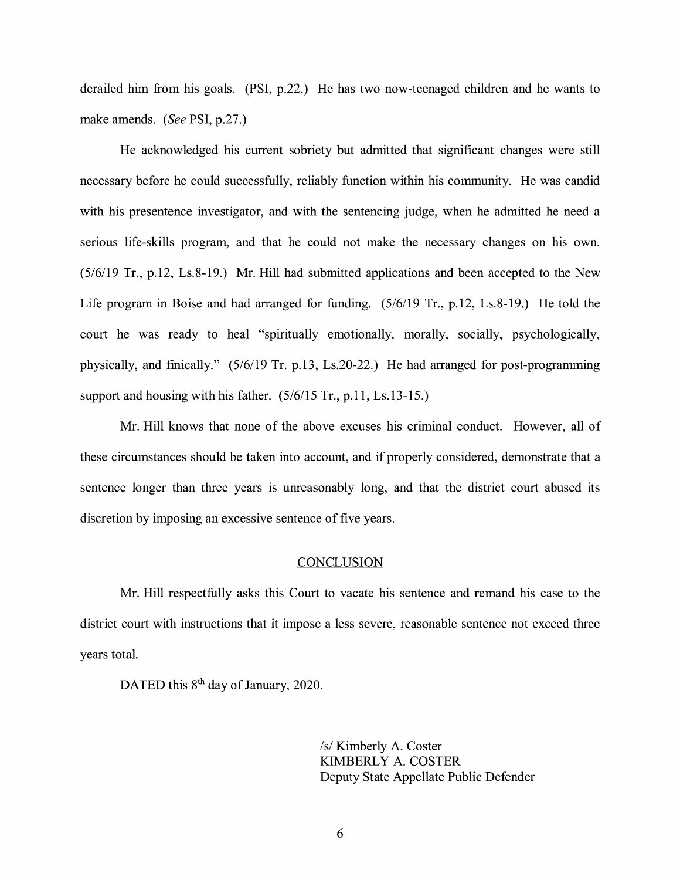derailed him from his goals. (PSI, p.22.) He has two now-teenaged children and he wants to make amends. *(See* PSI, p.27.)

He acknowledged his current sobriety but admitted that significant changes were still necessary before he could successfully, reliably function within his community. He was candid with his presentence investigator, and with the sentencing judge, when he admitted he need a serious life-skills program, and that he could not make the necessary changes on his own.  $(5/6/19)$  Tr., p.12, Ls.8-19.) Mr. Hill had submitted applications and been accepted to the New Life program in Boise and had arranged for funding. (5/6/19 Tr., p.12, Ls.8-19.) He told the court he was ready to heal "spiritually emotionally, morally, socially, psychologically, physically, and finically." (5/6/19 Tr. p.13, Ls.20-22.) He had arranged for post-programming support and housing with his father. (5/6/15 Tr., p.11, Ls.13-15.)

Mr. Hill knows that none of the above excuses his criminal conduct. However, all of these circumstances should be taken into account, and if properly considered, demonstrate that a sentence longer than three years is unreasonably long, and that the district court abused its discretion by imposing an excessive sentence of five years.

## **CONCLUSION**

Mr. Hill respectfully asks this Court to vacate his sentence and remand his case to the district court with instructions that it impose a less severe, reasonable sentence not exceed three years total.

DATED this 8<sup>th</sup> day of January, 2020.

*Is/* Kimberly A. Coster KIMBERLY A. COSTER Deputy State Appellate Public Defender